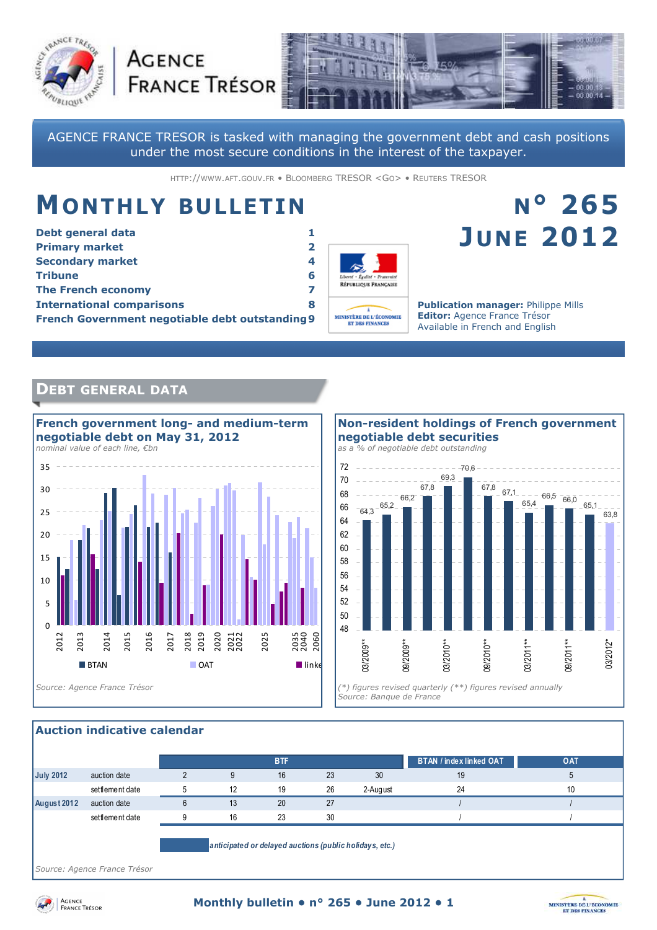



AGENCE FRANCE TRESOR is tasked with managing the government debt and cash positions under the most secure conditions in the interest of the taxpayer.

HTTP://WWW.AFT.GOUV.FR • BLOOMBERG TRESOR <GO> • REUTERS TRESOR

# **MONTHLY BULLETIN**

**AGENCE** 

| Debt general data                               |                         |  |  |  |
|-------------------------------------------------|-------------------------|--|--|--|
| <b>Primary market</b>                           | $\overline{\mathbf{2}}$ |  |  |  |
| <b>Secondary market</b>                         | 4                       |  |  |  |
| <b>Tribune</b>                                  | 6                       |  |  |  |
| <b>The French economy</b>                       |                         |  |  |  |
| <b>International comparisons</b>                | 8                       |  |  |  |
| French Government negotiable debt outstanding 9 |                         |  |  |  |



# **N° 265 JUNE 2012**

**Publication manager:** Philippe Mills **Editor:** Agence France Trésor Available in French and English

# **DEBT GENERAL DATA**



#### 64,3 65,2 66,2 67,8 69,3  $-70.6$ 67,8 67,1 65,4  $66,5$   $66,0$ 65,1 63,8 48 50 52 54 56 58 60 62 64 66 68 70 72 03/2009\*\* 09/2009\*\* 03/2010\*\* 09/2010\*\* 03/2011\*\* 09/2011\*\* 03/2012\* *Source: Banque de France*  **Non-resident holdings of French government negotiable debt securities**  *as a % of negotiable debt outstanding*

#### **Auction indicative calendar**

|                  |                 |          |    | <b>BTF</b> |    |          | <b>BTAN / index linked OAT</b> | OAT |
|------------------|-----------------|----------|----|------------|----|----------|--------------------------------|-----|
| <b>July 2012</b> | auction date    |          |    | 16         | 23 | 30       | 19                             |     |
|                  | settlement date |          | 12 | 19         | 26 | 2-August | 24                             | 10  |
| August 2012      | auction date    |          | 13 | 20         | 27 |          |                                |     |
|                  | settlement date | $\Omega$ | 16 | 23         | 30 |          |                                |     |
|                  |                 |          |    |            |    |          |                                |     |

*anticipated or delayed auctions (public holidays, etc.)*

*Source: Agence France Trésor* 



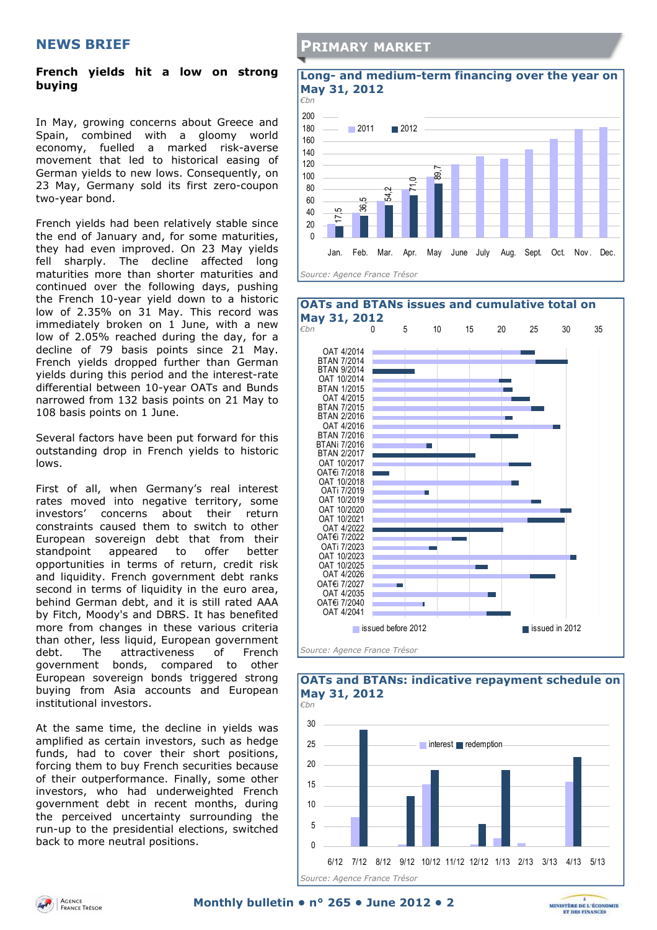### **NEWS BRIEF**

#### **French yields hit a low on strong buying**

In May, growing concerns about Greece and Spain, combined with a gloomy world economy, fuelled a marked risk-averse movement that led to historical easing of German yields to new lows. Consequently, on 23 May, Germany sold its first zero-coupon two-year bond.

French yields had been relatively stable since the end of January and, for some maturities, they had even improved. On 23 May yields fell sharply. The decline affected long maturities more than shorter maturities and continued over the following days, pushing the French 10-year yield down to a historic low of 2.35% on 31 May. This record was immediately broken on 1 June, with a new low of 2.05% reached during the day, for a decline of 79 basis points since 21 May. French yields dropped further than German yields during this period and the interest-rate differential between 10-year OATs and Bunds narrowed from 132 basis points on 21 May to 108 basis points on 1 June.

Several factors have been put forward for this outstanding drop in French yields to historic lows.

First of all, when Germany's real interest rates moved into negative territory, some investors' concerns about their return constraints caused them to switch to other European sovereign debt that from their standpoint appeared to offer better opportunities in terms of return, credit risk and liquidity. French government debt ranks second in terms of liquidity in the euro area, behind German debt, and it is still rated AAA by Fitch, Moody's and DBRS. It has benefited more from changes in these various criteria than other, less liquid, European government debt. The attractiveness of French government bonds, compared to other European sovereign bonds triggered strong buying from Asia accounts and European institutional investors.

At the same time, the decline in yields was amplified as certain investors, such as hedge funds, had to cover their short positions, forcing them to buy French securities because of their outperformance. Finally, some other investors, who had underweighted French government debt in recent months, during the perceived uncertainty surrounding the run-up to the presidential elections, switched back to more neutral positions.

### **PRIMARY MARKET**

# **Long- and medium-term financing over the year on May 31, 2012**  *€bn*







# **OATs and BTANs: indicative repayment schedule on**

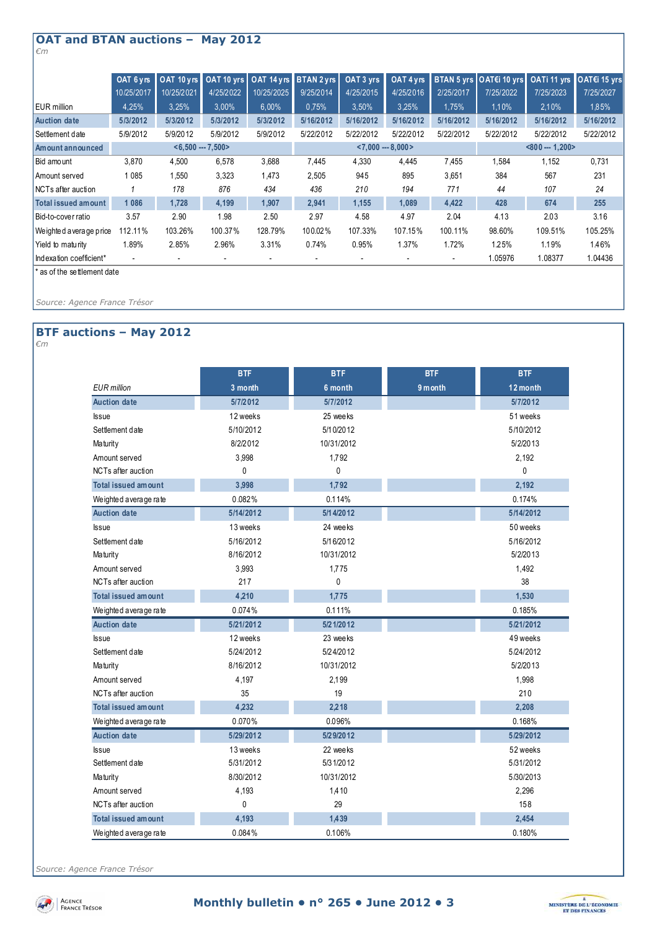#### **OAT and BTAN auctions – May 2012**  *€m*

|                          | OAT 6 vrs           | OAT 10 yrs | OAT 10 vrs |                     | OAT 14 yrs BTAN 2 yrs | OAT 3 yrs | OAT 4 yrs       |           | BTAN 5 yrs OAT€i 10 yrs OATi 11 yrs OAT€i 15 yrs |           |           |
|--------------------------|---------------------|------------|------------|---------------------|-----------------------|-----------|-----------------|-----------|--------------------------------------------------|-----------|-----------|
|                          | 10/25/2017          | 10/25/2021 | 4/25/2022  | 10/25/2025          | 9/25/2014             | 4/25/2015 | 4/25/2016       | 2/25/2017 | 7/25/2022                                        | 7/25/2023 | 7/25/2027 |
| EUR million              | 4,25%               | 3,25%      | 3,00%      | 6.00%               | 0,75%                 | 3,50%     | 3.25%           | 1,75%     | 1.10%                                            | 2,10%     | 1.85%     |
| <b>Auction date</b>      | 5/3/2012            | 5/3/2012   | 5/3/2012   | 5/3/2012            | 5/16/2012             | 5/16/2012 | 5/16/2012       | 5/16/2012 | 5/16/2012                                        | 5/16/2012 | 5/16/2012 |
| Settlement date          | 5/9/2012            | 5/9/2012   | 5/9/2012   | 5/9/2012            | 5/22/2012             | 5/22/2012 | 5/22/2012       | 5/22/2012 | 5/22/2012                                        | 5/22/2012 | 5/22/2012 |
| Amount announced         | $< 6.500 - 7.500 >$ |            |            | $< 7.000 - 8.000 >$ |                       |           | $< 800 - 1.200$ |           |                                                  |           |           |
| Bid amount               | 3,870               | 4,500      | 6,578      | 3.688               | 7.445                 | 4,330     | 4,445           | 7,455     | 1,584                                            | 1,152     | 0,731     |
| Amount served            | 1 0 8 5             | 1,550      | 3,323      | 1,473               | 2,505                 | 945       | 895             | 3,651     | 384                                              | 567       | 231       |
| NCTs after auction       |                     | 178        | 876        | 434                 | 436                   | 210       | 194             | 771       | 44                                               | 107       | 24        |
| Total issued amount      | 1086                | 1,728      | 4,199      | 1,907               | 2,941                 | 1,155     | 1,089           | 4,422     | 428                                              | 674       | 255       |
| Bid-to-cover ratio       | 3.57                | 2.90       | 1.98       | 2.50                | 2.97                  | 4.58      | 4.97            | 2.04      | 4.13                                             | 2.03      | 3.16      |
| We ighted a verage price | 112.11%             | 103.26%    | 100.37%    | 128.79%             | 100.02%               | 107.33%   | 107.15%         | 100.11%   | 98.60%                                           | 109.51%   | 105.25%   |
| Yield to maturity        | 1.89%               | 2.85%      | 2.96%      | 3.31%               | 0.74%                 | 0.95%     | 1.37%           | 1.72%     | 1.25%                                            | 1.19%     | 1.46%     |
| Indexation coefficient*  |                     |            |            |                     |                       |           |                 |           | 1.05976                                          | 1.08377   | 1.04436   |

\* as of the settlement date

*Source: Agence France Trésor* 

### **BTF auctions – May 2012**

*€m* 

|                            | <b>BTF</b> | <b>BTF</b> | <b>BTF</b> | <b>BTF</b> |
|----------------------------|------------|------------|------------|------------|
| <b>EUR</b> million         | 3 month    | 6 month    | 9 month    | 12 month   |
| <b>Auction date</b>        | 5/7/2012   | 5/7/2012   |            | 5/7/2012   |
| <b>Issue</b>               | 12 weeks   | 25 weeks   |            | 51 weeks   |
| Settlement date            | 5/10/2012  | 5/10/2012  |            | 5/10/2012  |
| Maturity                   | 8/2/2012   | 10/31/2012 |            | 5/2/2013   |
| Amount served              | 3,998      | 1,792      |            | 2,192      |
| NCTs after auction         | 0          | 0          |            | 0          |
| <b>Total issued amount</b> | 3,998      | 1,792      |            | 2,192      |
| Weighted average rate      | 0.082%     | 0.114%     |            | 0.174%     |
| <b>Auction date</b>        | 5/14/2012  | 5/1 4/2012 |            | 5/14/2012  |
| <b>Issue</b>               | 13 weeks   | 24 weeks   |            | 50 weeks   |
| Settlement date            | 5/16/2012  | 5/16/2012  |            | 5/16/2012  |
| Maturity                   | 8/16/2012  | 10/31/2012 |            | 5/2/2013   |
| Amount served              | 3,993      | 1,775      |            | 1,492      |
| NCTs after auction         | 217        | 0          |            | 38         |
| <b>Total issued amount</b> | 4,210      | 1,775      |            | 1,530      |
| Weighted average rate      | 0.074%     | 0.111%     |            | 0.185%     |
| <b>Auction date</b>        | 5/21/2012  | 5/2 1/2012 |            | 5/21/2012  |
| <b>Issue</b>               | 12 weeks   | 23 weeks   |            | 49 weeks   |
| Settlement date            | 5/24/2012  | 5/24/2012  |            | 5/24/2012  |
| Maturity                   | 8/16/2012  | 10/31/2012 |            | 5/2/2013   |
| Amount served              | 4,197      | 2,199      |            | 1,998      |
| NCTs after auction         | 35         | 19         |            | 210        |
| <b>Total issued amount</b> | 4,232      | 2,218      |            | 2,208      |
| Weighted average rate      | 0.070%     | 0.096%     |            | 0.168%     |
| <b>Auction date</b>        | 5/29/2012  | 5/29/2012  |            | 5/29/2012  |
| <b>Issue</b>               | 13 weeks   | 22 weeks   |            | 52 weeks   |
| Settlement date            | 5/31/2012  | 5/31/2012  |            | 5/31/2012  |
| Maturity                   | 8/30/2012  | 10/31/2012 |            | 5/30/2013  |
| Amount served              | 4,193      | 1,410      |            | 2,296      |
| NCTs after auction         | 0          | 29         |            | 158        |
| <b>Total issued amount</b> | 4,193      | 1,439      |            | 2,454      |
| Weighted average rate      | 0.084%     | 0.106%     |            | 0.180%     |

*Source: Agence France Trésor* 



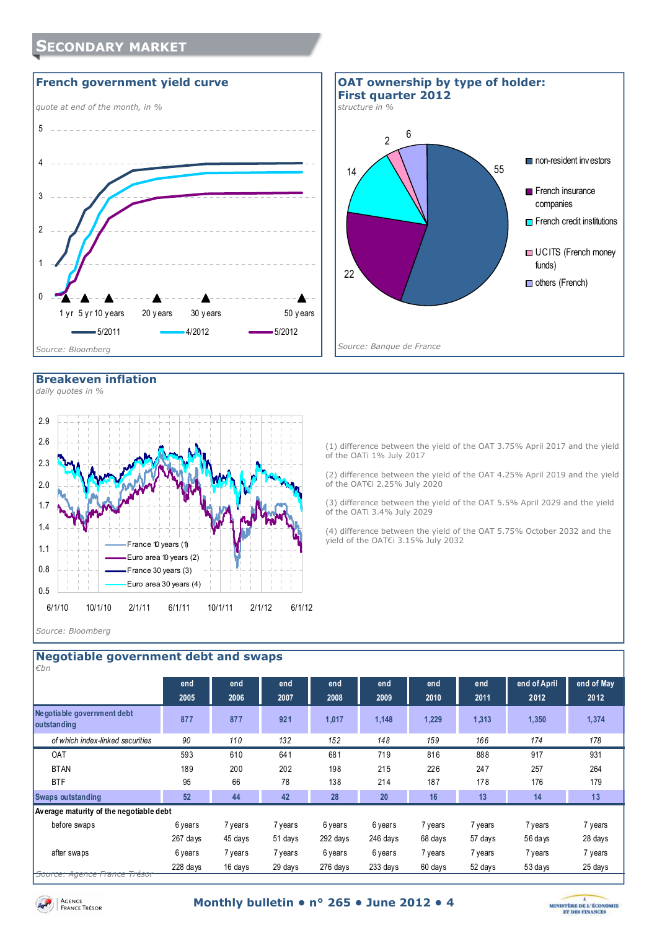







(1) difference between the yield of the OAT 3.75% April 2017 and the yield of the OATi 1% July 2017

(2) difference between the yield of the OAT 4.25% April 2019 and the yield of the OAT€i 2.25% July 2020

(3) difference between the yield of the OAT 5.5% April 2029 and the yield of the OATi 3.4% July 2029

(4) difference between the yield of the OAT 5.75% October 2032 and the yield of the OAT€i 3.15% July 2032

*Source: Bloomberg* 

0.5 0.8 1.1 1.4 1.7 2.0

| <b>Negotiable government debt and swaps</b><br>€bn |             |             |             |             |             |             |             |                      |                    |  |
|----------------------------------------------------|-------------|-------------|-------------|-------------|-------------|-------------|-------------|----------------------|--------------------|--|
|                                                    | end<br>2005 | end<br>2006 | end<br>2007 | end<br>2008 | end<br>2009 | end<br>2010 | end<br>2011 | end of April<br>2012 | end of May<br>2012 |  |
| Ne gotiable government debt<br><b>outstanding</b>  | 877         | 877         | 921         | 1,017       | 1,148       | 1,229       | 1,313       | 1,350                | 1,374              |  |
| of which index-linked securities                   | 90          | 110         | 132         | 152         | 148         | 159         | 166         | 174                  | 178                |  |
| <b>OAT</b>                                         | 593         | 610         | 641         | 681         | 719         | 816         | 888         | 917                  | 931                |  |
| <b>BTAN</b>                                        | 189         | 200         | 202         | 198         | 215         | 226         | 247         | 257                  | 264                |  |
| <b>BTF</b>                                         | 95          | 66          | 78          | 138         | 214         | 187         | 178         | 176                  | 179                |  |
| <b>Swaps outstanding</b>                           | 52          | 44          | 42          | 28          | 20          | 16          | 13          | 14                   | 13                 |  |
| Average maturity of the negotiable debt            |             |             |             |             |             |             |             |                      |                    |  |
| before swaps                                       | 6 years     | 7 years     | 7 years     | 6 years     | 6 years     | 7 years     | 7 years     | 7 years              | 7 years            |  |
|                                                    | 267 days    | 45 days     | 51 days     | 292 days    | 246 days    | 68 days     | 57 days     | 56 days              | 28 days            |  |
| after swaps                                        | 6 years     | 7 years     | 7 years     | 6 years     | 6 years     | 7 years     | 7 years     | 7 years              | 7 years            |  |
| Source: Agence France Trésor                       | $228$ days  | 16 days     | 29 days     | 276 days    | 233 days    | 60 days     | 52 days     | 53 days              | 25 days            |  |

France 10 years (1) Euro area 10 years (2) France 30 years (3) Euro area 30 years (4)

6/1/10 10/1/10 2/1/11 6/1/11 10/1/11 2/1/12 6/1/12

Agence<br>France Trésor

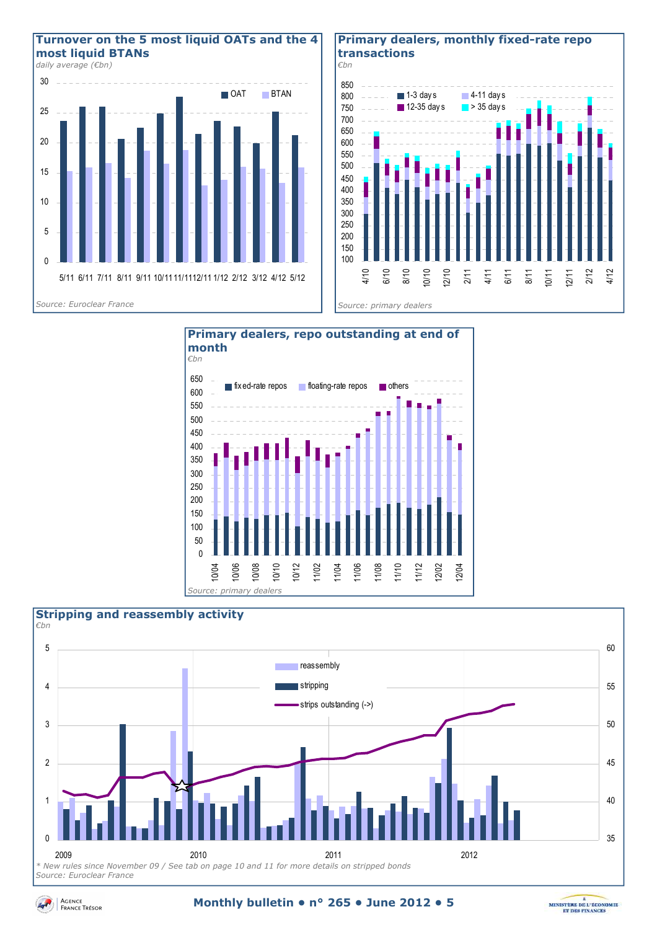

#### **Primary dealers, monthly fixed-rate repo transactions**







Agence<br>France Trésor

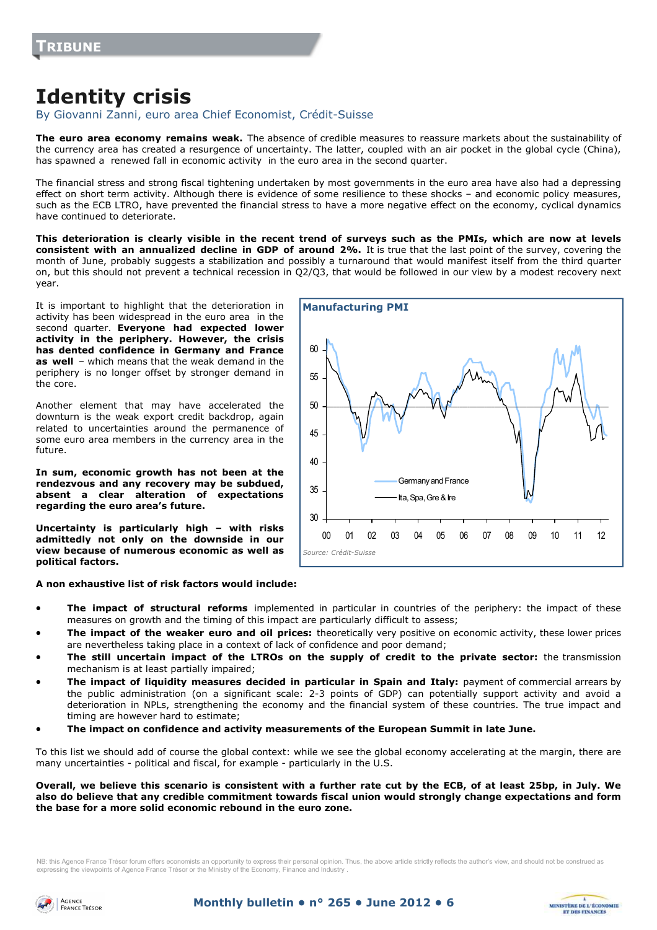# **Identity crisis**

By Giovanni Zanni, euro area Chief Economist, Crédit-Suisse

**The euro area economy remains weak.** The absence of credible measures to reassure markets about the sustainability of the currency area has created a resurgence of uncertainty. The latter, coupled with an air pocket in the global cycle (China), has spawned a renewed fall in economic activity in the euro area in the second quarter.

The financial stress and strong fiscal tightening undertaken by most governments in the euro area have also had a depressing effect on short term activity. Although there is evidence of some resilience to these shocks – and economic policy measures, such as the ECB LTRO, have prevented the financial stress to have a more negative effect on the economy, cyclical dynamics have continued to deteriorate.

**This deterioration is clearly visible in the recent trend of surveys such as the PMIs, which are now at levels consistent with an annualized decline in GDP of around 2%.** It is true that the last point of the survey, covering the month of June, probably suggests a stabilization and possibly a turnaround that would manifest itself from the third quarter on, but this should not prevent a technical recession in Q2/Q3, that would be followed in our view by a modest recovery next year.

It is important to highlight that the deterioration in activity has been widespread in the euro area in the second quarter. **Everyone had expected lower activity in the periphery. However, the crisis has dented confidence in Germany and France as well** – which means that the weak demand in the periphery is no longer offset by stronger demand in the core.

Another element that may have accelerated the downturn is the weak export credit backdrop, again related to uncertainties around the permanence of some euro area members in the currency area in the future.

**In sum, economic growth has not been at the rendezvous and any recovery may be subdued, absent a clear alteration of expectations regarding the euro area's future.** 

**Uncertainty is particularly high – with risks admittedly not only on the downside in our view because of numerous economic as well as political factors.** 

**A non exhaustive list of risk factors would include:** 



- **The impact of structural reforms** implemented in particular in countries of the periphery: the impact of these measures on growth and the timing of this impact are particularly difficult to assess;
- **The impact of the weaker euro and oil prices:** theoretically very positive on economic activity, these lower prices are nevertheless taking place in a context of lack of confidence and poor demand;
- **The still uncertain impact of the LTROs on the supply of credit to the private sector:** the transmission mechanism is at least partially impaired;
- **The impact of liquidity measures decided in particular in Spain and Italy:** payment of commercial arrears by the public administration (on a significant scale: 2-3 points of GDP) can potentially support activity and avoid a deterioration in NPLs, strengthening the economy and the financial system of these countries. The true impact and timing are however hard to estimate;
- **The impact on confidence and activity measurements of the European Summit in late June.**

To this list we should add of course the global context: while we see the global economy accelerating at the margin, there are many uncertainties - political and fiscal, for example - particularly in the U.S.

#### **Overall, we believe this scenario is consistent with a further rate cut by the ECB, of at least 25bp, in July. We also do believe that any credible commitment towards fiscal union would strongly change expectations and form the base for a more solid economic rebound in the euro zone.**

NB: this Agence France Trésor forum offers economists an opportunity to express their personal opinion. Thus, the above article strictly reflects the author's view, and should not be construed as expressing the viewpoints of Agence France Trésor or the Ministry of the Economy, Finance and Industry .



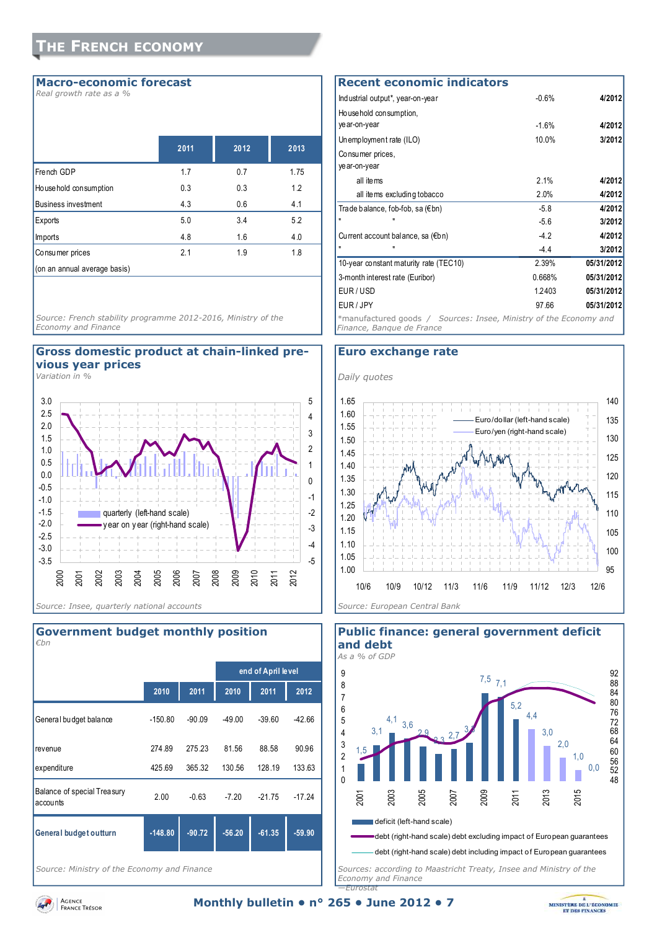#### **Macro-economic forecast**

*Real growth rate as a %* 

|                              | 2011 | 2012 | 2013 |
|------------------------------|------|------|------|
| French GDP                   | 1.7  | 0.7  | 1.75 |
| House hold consumption       | 0.3  | 0.3  | 1.2  |
| <b>Business investment</b>   | 4.3  | 0.6  | 4.1  |
| Exports                      | 5.0  | 3.4  | 5.2  |
| Imports                      | 4.8  | 1.6  | 4.0  |
| Consumer prices              | 2.1  | 1.9  | 1.8  |
| (on an annual average basis) |      |      |      |

*Source: French stability programme 2012-2016, Ministry of the Economy and Finance* 

### **Gross domestic product at chain-linked previous year prices**

*Variation in %* 





*Source: Ministry of the Economy and Finance* 

| <b>Recent economic indicators</b>                                                              |          |            |
|------------------------------------------------------------------------------------------------|----------|------------|
| Industrial output*, year-on-year                                                               | $-0.6%$  | 4/2012     |
| Household consumption,                                                                         |          |            |
| year-on-year                                                                                   | $-1.6%$  | 4/2012     |
| Unemployment rate (ILO)                                                                        | $10.0\%$ | 3/2012     |
| Consumer prices,                                                                               |          |            |
| year-on-year                                                                                   |          |            |
| all items                                                                                      | 2.1%     | 4/2012     |
| all items excluding tobacco                                                                    | 2.0%     | 4/2012     |
| Trade balance, fob-fob, sa (€bn)                                                               | $-5.8$   | 4/2012     |
| Ħ                                                                                              | $-5.6$   | 3/2012     |
| Current account balance, sa (€bn)                                                              | $-4.2$   | 4/2012     |
|                                                                                                | $-4.4$   | 3/2012     |
| 10-year constant maturity rate (TEC10)                                                         | 2.39%    | 05/31/2012 |
| 3-month interest rate (Euribor)                                                                | 0.668%   | 05/31/2012 |
| EUR/USD                                                                                        | 1.2403   | 05/31/2012 |
| EUR/JPY                                                                                        | 97.66    | 05/31/2012 |
| *manufactured goods / Sources: Insee, Ministry of the Economy and<br>Finance, Bangue de France |          |            |

#### **Euro exchange rate**





**Public finance: general government deficit** 

*Sources: according to Maastricht Treaty, Insee and Ministry of the Economy and Finance —Eurostat* 

Agence<br>France Trésor

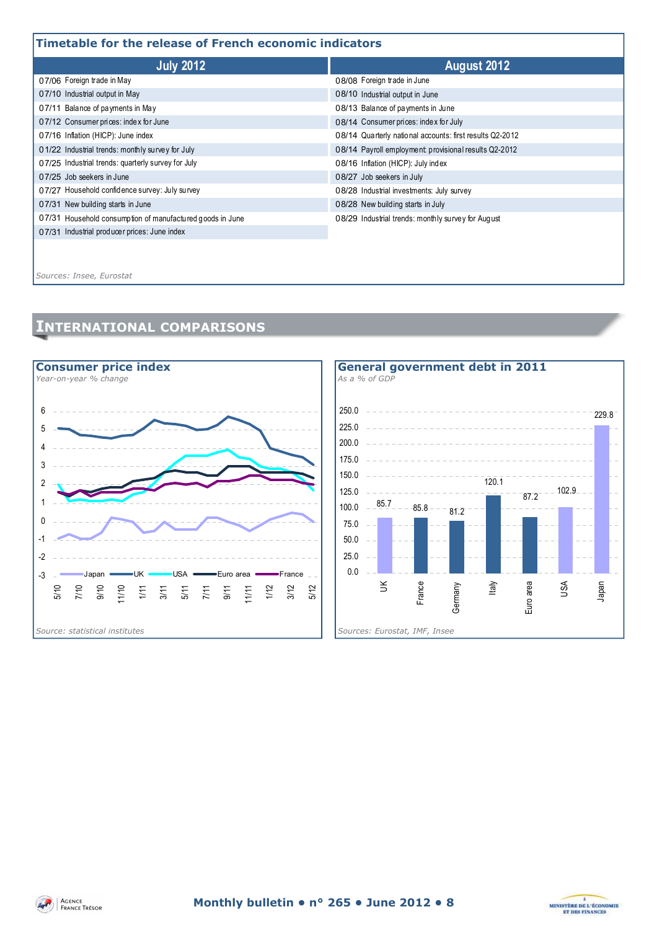## **Timetable for the release of French economic indicators**

| i ililetable ivi tile i elease vi i i elitil etvilvillit iliultatvi s |                                                          |  |  |  |  |
|-----------------------------------------------------------------------|----------------------------------------------------------|--|--|--|--|
| <b>July 2012</b>                                                      | August 2012                                              |  |  |  |  |
| 07/06 Foreign trade in May                                            | 08/08 Foreign trade in June                              |  |  |  |  |
| 07/10 Industrial output in May                                        | 08/10 Industrial output in June                          |  |  |  |  |
| 07/11 Balance of payments in May                                      | 08/13 Balance of payments in June                        |  |  |  |  |
| 07/12 Consumer prices: index for June                                 | 08/14 Consumer prices: index for July                    |  |  |  |  |
| 07/16 Inflation (HICP): June index                                    | 08/14 Quarterly national accounts: first results Q2-2012 |  |  |  |  |
| 01/22 Industrial trends: monthly survey for July                      | 08/14 Payroll employment: provisional results Q2-2012    |  |  |  |  |
| 07/25 Industrial trends: quarterly survey for July                    | 08/16 Inflation (HICP): July index                       |  |  |  |  |
| 07/25 Job seekers in June                                             | 08/27 Job seekers in July                                |  |  |  |  |
| 07/27 Household confidence survey: July survey                        | 08/28 Industrial investments: July survey                |  |  |  |  |
| 07/31 New building starts in June                                     | 08/28 New building starts in July                        |  |  |  |  |
| 07/31 Household consumption of manufactured goods in June             | 08/29 Industrial trends: monthly survey for August       |  |  |  |  |
| 07/31 Industrial producer prices: June index                          |                                                          |  |  |  |  |
|                                                                       |                                                          |  |  |  |  |
|                                                                       |                                                          |  |  |  |  |

*Sources: Insee, Eurostat*

# **INTERNATIONAL COMPARISONS**







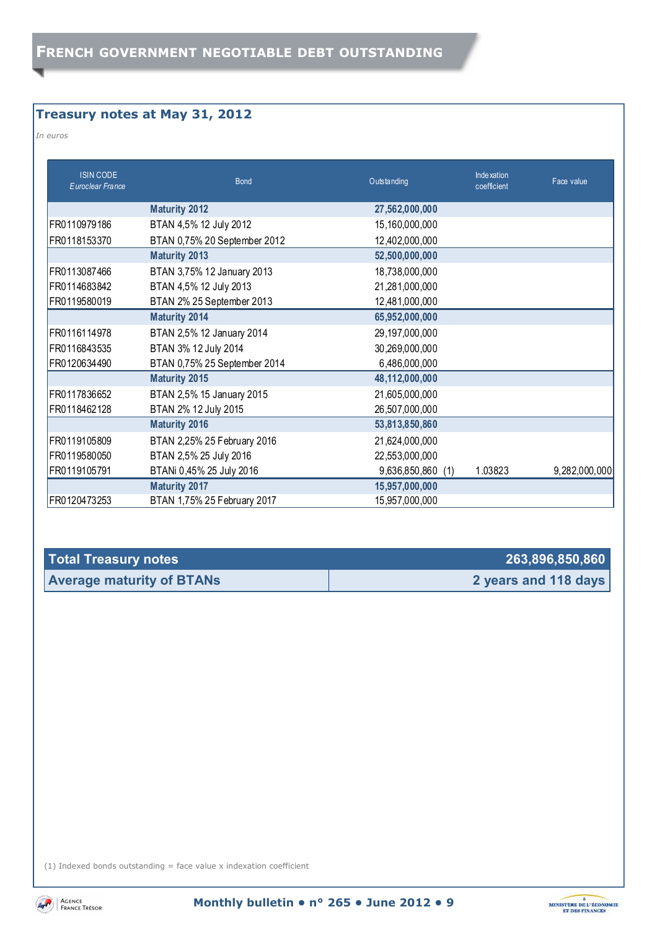# **Treasury notes at May 31, 2012**

*In euros* 

| <b>ISIN CODE</b><br>Euroclear France | <b>Bond</b>                  | Outstanding       | Inde xation<br>coefficient | Face value    |
|--------------------------------------|------------------------------|-------------------|----------------------------|---------------|
|                                      | <b>Maturity 2012</b>         | 27,562,000,000    |                            |               |
| FR0110979186                         | BTAN 4,5% 12 July 2012       | 15,160,000,000    |                            |               |
| FR0118153370                         | BTAN 0,75% 20 September 2012 | 12,402,000,000    |                            |               |
|                                      | <b>Maturity 2013</b>         | 52,500,000,000    |                            |               |
| FR0113087466                         | BTAN 3,75% 12 January 2013   | 18,738,000,000    |                            |               |
| FR0114683842                         | BTAN 4,5% 12 July 2013       | 21,281,000,000    |                            |               |
| FR0119580019                         | BTAN 2% 25 September 2013    | 12,481,000,000    |                            |               |
|                                      | <b>Maturity 2014</b>         | 65,952,000,000    |                            |               |
| FR0116114978                         | BTAN 2,5% 12 January 2014    | 29,197,000,000    |                            |               |
| FR0116843535                         | BTAN 3% 12 July 2014         | 30,269,000,000    |                            |               |
| FR0120634490                         | BTAN 0,75% 25 September 2014 | 6,486,000,000     |                            |               |
|                                      | <b>Maturity 2015</b>         | 48,112,000,000    |                            |               |
| FR0117836652                         | BTAN 2,5% 15 January 2015    | 21,605,000,000    |                            |               |
| FR0118462128                         | BTAN 2% 12 July 2015         | 26,507,000,000    |                            |               |
|                                      | <b>Maturity 2016</b>         | 53,813,850,860    |                            |               |
| FR0119105809                         | BTAN 2,25% 25 February 2016  | 21,624,000,000    |                            |               |
| FR0119580050                         | BTAN 2,5% 25 July 2016       | 22,553,000,000    |                            |               |
| FR0119105791                         | BTANi 0,45% 25 July 2016     | 9,636,850,860 (1) | 1.03823                    | 9,282,000,000 |
|                                      | <b>Maturity 2017</b>         | 15,957,000,000    |                            |               |
| FR0120473253                         | BTAN 1,75% 25 February 2017  | 15,957,000,000    |                            |               |

| Total Treasury notes             | 263,896,850,860      |
|----------------------------------|----------------------|
| <b>Average maturity of BTANs</b> | 2 years and 118 days |

(1) Indexed bonds outstanding  $=$  face value x indexation coefficient



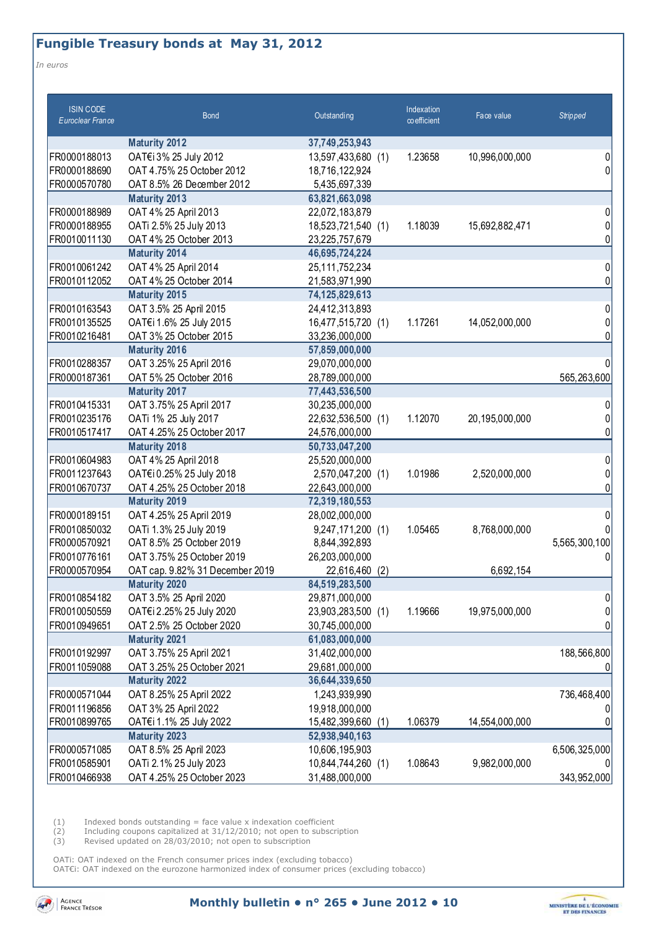# **Fungible Treasury bonds at May 31, 2012**

*In euros* 

| <b>ISIN CODE</b><br>Euroclear France | <b>Bond</b>                     | Outstanding           | Indexation<br>co efficient | Face value     | <b>Stripped</b> |
|--------------------------------------|---------------------------------|-----------------------|----------------------------|----------------|-----------------|
|                                      | <b>Maturity 2012</b>            | 37,749,253,943        |                            |                |                 |
| FR0000188013                         | OAT€i 3% 25 July 2012           | 13,597,433,680 (1)    | 1.23658                    | 10,996,000,000 | 0               |
| FR0000188690                         | OAT 4.75% 25 October 2012       | 18,716,122,924        |                            |                | $\Omega$        |
| FR0000570780                         | OAT 8.5% 26 December 2012       | 5,435,697,339         |                            |                |                 |
|                                      | <b>Maturity 2013</b>            | 63,821,663,098        |                            |                |                 |
| FR0000188989                         | OAT 4% 25 April 2013            | 22,072,183,879        |                            |                | 0               |
| FR0000188955                         | OATi 2.5% 25 July 2013          | 18,523,721,540 (1)    | 1.18039                    | 15,692,882,471 | 0               |
| FR0010011130                         | OAT 4% 25 October 2013          | 23,225,757,679        |                            |                | 0               |
|                                      | <b>Maturity 2014</b>            | 46,695,724,224        |                            |                |                 |
| FR0010061242                         | OAT 4% 25 April 2014            | 25,111,752,234        |                            |                | 0               |
| FR0010112052                         | OAT 4% 25 October 2014          | 21,583,971,990        |                            |                | 0               |
|                                      | <b>Maturity 2015</b>            | 74,125,829,613        |                            |                |                 |
| FR0010163543                         | OAT 3.5% 25 April 2015          | 24,412,313,893        |                            |                | 0               |
| FR0010135525                         | OAT€i 1.6% 25 July 2015         | 16,477,515,720 (1)    | 1.17261                    | 14,052,000,000 | 0               |
| FR0010216481                         | OAT 3% 25 October 2015          | 33,236,000,000        |                            |                | n               |
|                                      | <b>Maturity 2016</b>            | 57,859,000,000        |                            |                |                 |
| FR0010288357                         | OAT 3.25% 25 April 2016         | 29,070,000,000        |                            |                | 0               |
| FR0000187361                         | OAT 5% 25 October 2016          | 28,789,000,000        |                            |                | 565,263,600     |
|                                      | <b>Maturity 2017</b>            | 77,443,536,500        |                            |                |                 |
| FR0010415331                         | OAT 3.75% 25 April 2017         | 30,235,000,000        |                            |                | 0               |
| FR0010235176                         | OATi 1% 25 July 2017            | 22,632,536,500 (1)    | 1.12070                    | 20,195,000,000 | 0               |
| FR0010517417                         | OAT 4.25% 25 October 2017       | 24,576,000,000        |                            |                | 0               |
|                                      | <b>Maturity 2018</b>            | 50,733,047,200        |                            |                |                 |
| FR0010604983                         | OAT 4% 25 April 2018            | 25,520,000,000        |                            |                | 0               |
| FR0011237643                         | OAT€i 0.25% 25 July 2018        | 2,570,047,200 (1)     | 1.01986                    | 2,520,000,000  | 0               |
| FR0010670737                         | OAT 4.25% 25 October 2018       | 22,643,000,000        |                            |                | 0               |
|                                      | <b>Maturity 2019</b>            | 72,319,180,553        |                            |                |                 |
| FR0000189151                         | OAT 4.25% 25 April 2019         | 28,002,000,000        |                            |                | 0               |
| FR0010850032                         | OATi 1.3% 25 July 2019          | 9,247,171,200 (1)     | 1.05465                    | 8,768,000,000  |                 |
| FR0000570921                         | OAT 8.5% 25 October 2019        | 8,844,392,893         |                            |                | 5,565,300,100   |
| FR0010776161                         | OAT 3.75% 25 October 2019       | 26,203,000,000        |                            |                | 0               |
| FR0000570954                         | OAT cap. 9.82% 31 December 2019 | 22,616,460<br>(2)     |                            | 6,692,154      |                 |
|                                      | <b>Maturity 2020</b>            | 84,519,283,500        |                            |                |                 |
| FR0010854182                         | OAT 3.5% 25 April 2020          | 29,871,000,000        |                            |                | 0               |
| FR0010050559                         | OAT€i 2.25% 25 July 2020        | 23,903,283,500 (1)    | 1.19666                    | 19,975,000,000 | 0               |
| FR0010949651                         | OAT 2.5% 25 October 2020        | 30,745,000,000        |                            |                | 0               |
|                                      | <b>Maturity 2021</b>            | 61,083,000,000        |                            |                |                 |
| FR0010192997                         | OAT 3.75% 25 April 2021         | 31,402,000,000        |                            |                | 188,566,800     |
| FR0011059088                         | OAT 3.25% 25 October 2021       | 29,681,000,000        |                            |                |                 |
|                                      | <b>Maturity 2022</b>            | 36,644,339,650        |                            |                |                 |
| FR0000571044                         | OAT 8.25% 25 April 2022         | 1,243,939,990         |                            |                | 736,468,400     |
| FR0011196856                         | OAT 3% 25 April 2022            | 19,918,000,000        |                            |                |                 |
| FR0010899765                         | OAT€i 1.1% 25 July 2022         | 15,482,399,660<br>(1) | 1.06379                    | 14,554,000,000 |                 |
|                                      | <b>Maturity 2023</b>            | 52,938,940,163        |                            |                |                 |
| FR0000571085                         | OAT 8.5% 25 April 2023          | 10,606,195,903        |                            |                | 6,506,325,000   |
| FR0010585901                         | OATi 2.1% 25 July 2023          | 10,844,744,260 (1)    | 1.08643                    | 9,982,000,000  |                 |
| FR0010466938                         | OAT 4.25% 25 October 2023       | 31,488,000,000        |                            |                | 343,952,000     |

 $(1)$  Indexed bonds outstanding = face value x indexation coefficient

(2) Including coupons capitalized at 31/12/2010; not open to subscription

(3) Revised updated on 28/03/2010; not open to subscription

OATi: OAT indexed on the French consumer prices index (excluding tobacco) OAT€i: OAT indexed on the eurozone harmonized index of consumer prices (excluding tobacco)



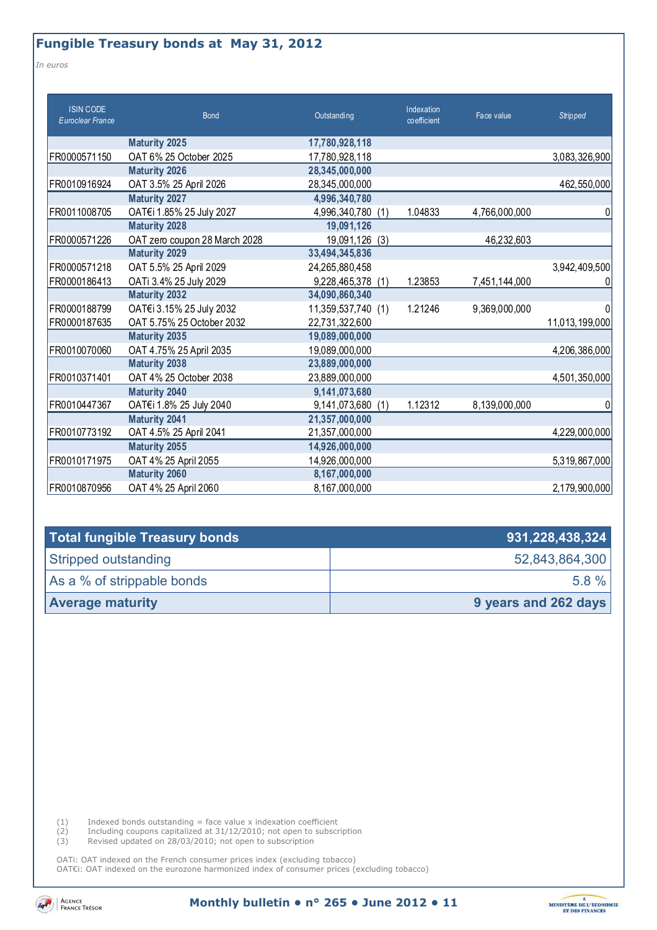# **Fungible Treasury bonds at May 31, 2012**

*In euros* 

| <b>ISIN CODE</b><br>Euroclear France | <b>Bond</b>                   | Outstanding          | Indexation<br>coefficient | Face value    | <b>Stripped</b> |
|--------------------------------------|-------------------------------|----------------------|---------------------------|---------------|-----------------|
|                                      | <b>Maturity 2025</b>          | 17,780,928,118       |                           |               |                 |
| FR0000571150                         | OAT 6% 25 October 2025        | 17,780,928,118       |                           |               | 3,083,326,900   |
|                                      | <b>Maturity 2026</b>          | 28,345,000,000       |                           |               |                 |
| FR0010916924                         | OAT 3.5% 25 April 2026        | 28,345,000,000       |                           |               | 462,550,000     |
|                                      | <b>Maturity 2027</b>          | 4,996,340,780        |                           |               |                 |
| FR0011008705                         | OAT€i 1.85% 25 July 2027      | 4,996,340,780<br>(1) | 1.04833                   | 4,766,000,000 | 0               |
|                                      | <b>Maturity 2028</b>          | 19,091,126           |                           |               |                 |
| FR0000571226                         | OAT zero coupon 28 March 2028 | 19,091,126<br>(3)    |                           | 46,232,603    |                 |
|                                      | <b>Maturity 2029</b>          | 33,494,345,836       |                           |               |                 |
| FR0000571218                         | OAT 5.5% 25 April 2029        | 24,265,880,458       |                           |               | 3,942,409,500   |
| FR0000186413                         | OATi 3.4% 25 July 2029        | 9,228,465,378<br>(1) | 1.23853                   | 7,451,144,000 | 0               |
|                                      | <b>Maturity 2032</b>          | 34,090,860,340       |                           |               |                 |
| FR0000188799                         | OAT€i 3.15% 25 July 2032      | 11,359,537,740 (1)   | 1.21246                   | 9,369,000,000 | 0               |
| FR0000187635                         | OAT 5.75% 25 October 2032     | 22,731,322,600       |                           |               | 11,013,199,000  |
|                                      | <b>Maturity 2035</b>          | 19,089,000,000       |                           |               |                 |
| FR0010070060                         | OAT 4.75% 25 April 2035       | 19,089,000,000       |                           |               | 4,206,386,000   |
|                                      | <b>Maturity 2038</b>          | 23,889,000,000       |                           |               |                 |
| FR0010371401                         | OAT 4% 25 October 2038        | 23,889,000,000       |                           |               | 4,501,350,000   |
|                                      | <b>Maturity 2040</b>          | 9,141,073,680        |                           |               |                 |
| FR0010447367                         | OAT€i 1.8% 25 July 2040       | 9,141,073,680<br>(1) | 1.12312                   | 8,139,000,000 | 0               |
|                                      | <b>Maturity 2041</b>          | 21,357,000,000       |                           |               |                 |
| FR0010773192                         | OAT 4.5% 25 April 2041        | 21,357,000,000       |                           |               | 4,229,000,000   |
|                                      | <b>Maturity 2055</b>          | 14,926,000,000       |                           |               |                 |
| FR0010171975                         | OAT 4% 25 April 2055          | 14,926,000,000       |                           |               | 5,319,867,000   |
|                                      | <b>Maturity 2060</b>          | 8,167,000,000        |                           |               |                 |
| FR0010870956                         | OAT 4% 25 April 2060          | 8,167,000,000        |                           |               | 2,179,900,000   |

| Total fungible Treasury bonds | 931,228,438,324      |
|-------------------------------|----------------------|
| Stripped outstanding          | 52,843,864,300       |
| As a % of strippable bonds    | $5.8 \%$             |
| <b>Average maturity</b>       | 9 years and 262 days |

 $(1)$  Indexed bonds outstanding = face value x indexation coefficient

(2) Including coupons capitalized at 31/12/2010; not open to subscription

(3) Revised updated on 28/03/2010; not open to subscription

OATi: OAT indexed on the French consumer prices index (excluding tobacco) OAT€i: OAT indexed on the eurozone harmonized index of consumer prices (excluding tobacco)